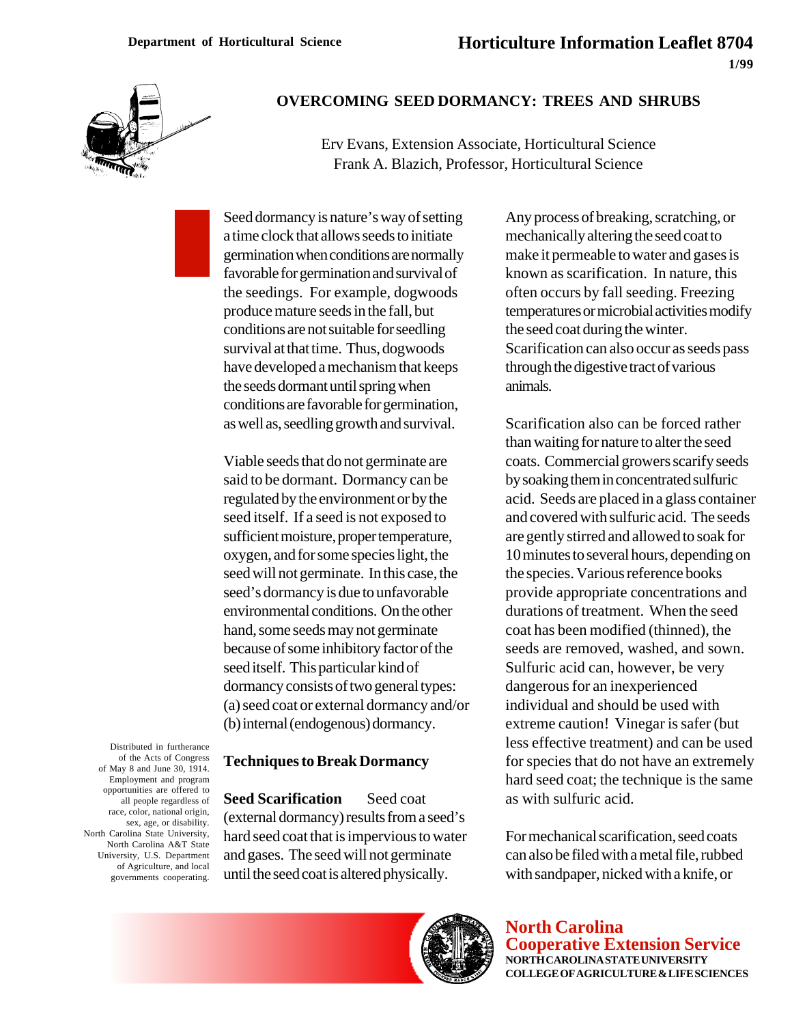

## **OVERCOMING SEED DORMANCY: TREES AND SHRUBS**

Erv Evans, Extension Associate, Horticultural Science Frank A. Blazich, Professor, Horticultural Science

Seed dormancy is nature's way of setting a time clock that allows seeds to initiate germination when conditions are normally favorable for germination and survival of the seedings. For example, dogwoods produce mature seeds in the fall, but conditions are not suitable for seedling survival at that time. Thus, dogwoods have developed a mechanism that keeps the seeds dormant until spring when conditions are favorable for germination, as well as, seedling growth and survival.

Viable seeds that do not germinate are said to be dormant. Dormancy can be regulated by the environment or by the seed itself. If a seed is not exposed to sufficient moisture, proper temperature, oxygen, and for some species light, the seed will not germinate. In this case, the seed's dormancy is due to unfavorable environmental conditions. On the other hand, some seeds may not germinate because of some inhibitory factor of the seed itself. This particular kind of dormancy consists of two general types: (a) seed coat or external dormancy and/or (b) internal (endogenous) dormancy.

## **Techniques to Break Dormancy**

**Seed Scarification** — Seed coat (external dormancy) results from a seed's hard seed coat that is impervious to water and gases. The seed will not germinate until the seed coat is altered physically.

Any process of breaking, scratching, or mechanically altering the seed coat to make it permeable to water and gases is known as scarification. In nature, this often occurs by fall seeding. Freezing temperatures or microbial activities modify the seed coat during the winter. Scarification can also occur as seeds pass through the digestive tract of various animals.

Scarification also can be forced rather than waiting for nature to alter the seed coats. Commercial growers scarify seeds by soaking them in concentrated sulfuric acid. Seeds are placed in a glass container and covered with sulfuric acid. The seeds are gently stirred and allowed to soak for 10 minutes to several hours, depending on the species. Various reference books provide appropriate concentrations and durations of treatment. When the seed coat has been modified (thinned), the seeds are removed, washed, and sown. Sulfuric acid can, however, be very dangerous for an inexperienced individual and should be used with extreme caution! Vinegar is safer (but less effective treatment) and can be used for species that do not have an extremely hard seed coat; the technique is the same as with sulfuric acid.

For mechanical scarification, seed coats can also be filed with a metal file, rubbed with sandpaper, nicked with a knife, or

of May 8 and June 30, 1914. Employment and program opportunities are offered to all people regardless of race, color, national origin, sex, age, or disability. North Carolina State University, North Carolina A&T State University, U.S. Department of Agriculture, and local governments cooperating.

Distributed in furtherance of the Acts of Congress



**North Carolina Cooperative Extension Service NORTH CAROLINA STATE UNIVERSITY COLLEGE OF AGRICULTURE & LIFE SCIENCES**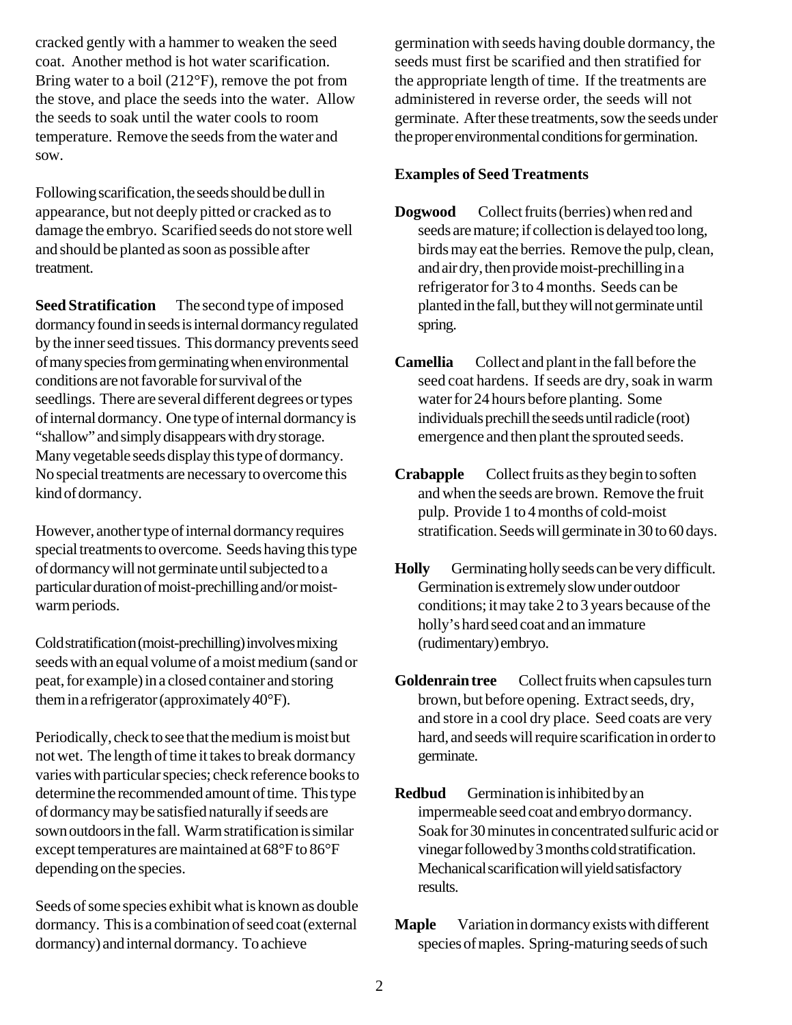cracked gently with a hammer to weaken the seed coat. Another method is hot water scarification. Bring water to a boil (212°F), remove the pot from the stove, and place the seeds into the water. Allow the seeds to soak until the water cools to room temperature. Remove the seeds from the water and sow.

Following scarification, the seeds should be dull in appearance, but not deeply pitted or cracked as to damage the embryo. Scarified seeds do not store well and should be planted as soon as possible after treatment.

**Seed Stratification**—The second type of imposed dormancy found in seeds is internal dormancy regulated by the inner seed tissues. This dormancy prevents seed of many species from germinating when environmental conditions are not favorable for survival of the seedlings. There are several different degrees or types of internal dormancy. One type of internal dormancy is "shallow" and simply disappears with dry storage. Many vegetable seeds display this type of dormancy. No special treatments are necessary to overcome this kind of dormancy.

However, another type of internal dormancy requires special treatments to overcome. Seeds having this type of dormancy will not germinate until subjected to a particular duration of moist-prechilling and/or moistwarm periods.

Cold stratification (moist-prechilling) involves mixing seeds with an equal volume of a moist medium (sand or peat, for example) in a closed container and storing them in a refrigerator (approximately 40°F).

Periodically, check to see that the medium is moist but not wet. The length of time it takes to break dormancy varies with particular species; check reference books to determine the recommended amount of time. This type of dormancy may be satisfied naturally if seeds are sown outdoors in the fall. Warm stratification is similar except temperatures are maintained at 68°F to 86°F depending on the species.

Seeds of some species exhibit what is known as double dormancy. This is a combination of seed coat (external dormancy) and internal dormancy. To achieve

germination with seeds having double dormancy, the seeds must first be scarified and then stratified for the appropriate length of time. If the treatments are administered in reverse order, the seeds will not germinate. After these treatments, sow the seeds under the proper environmental conditions for germination.

## **Examples of Seed Treatments**

- **Dogwood**—Collect fruits (berries) when red and seeds are mature; if collection is delayed too long, birds may eat the berries. Remove the pulp, clean, and air dry, then provide moist-prechilling in a refrigerator for 3 to 4 months. Seeds can be planted in the fall, but they will not germinate until spring.
- **Camellia** Collect and plant in the fall before the seed coat hardens. If seeds are dry, soak in warm water for 24 hours before planting. Some individuals prechill the seeds until radicle (root) emergence and then plant the sprouted seeds.
- **Crabapple** Collect fruits as they begin to soften and when the seeds are brown. Remove the fruit pulp. Provide 1 to 4 months of cold-moist stratification. Seeds will germinate in 30 to 60 days.
- Holly Germinating holly seeds can be very difficult. Germination is extremely slow under outdoor conditions; it may take 2 to 3 years because of the holly's hard seed coat and an immature (rudimentary) embryo.
- Goldenrain tree Collect fruits when capsules turn brown, but before opening. Extract seeds, dry, and store in a cool dry place. Seed coats are very hard, and seeds will require scarification in order to germinate.
- **Redbud** Germination is inhibited by an impermeable seed coat and embryo dormancy. Soak for 30 minutes in concentrated sulfuric acid or vinegar followed by 3 months cold stratification. Mechanical scarification will yield satisfactory results.
- **Maple** Variation in dormancy exists with different species of maples. Spring-maturing seeds of such